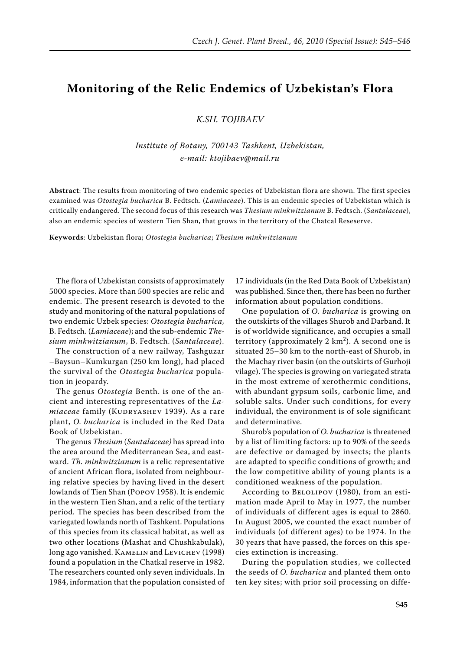## **Monitoring of the Relic Endemics of Uzbekistan's Flora**

*K.Sh. Tojibaev*

*Institute of Botany, 700143 Tashkent, Uzbekistan, e-mail: ktojibaev@mail.ru*

**Abstract**: The results from monitoring of two endemic species of Uzbekistan flora are shown. The first species examined was *Otostegia bucharica* B. Fedtsch. (*Lamiaceae*). This is an endemic species of Uzbekistan which is critically endangered. The second focus of this research was *Thesium minkwitzianum* B. Fedtsch. (*Santalaceae*), also an endemic species of western Tien Shan, that grows in the territory of the Chatcal Reseserve.

**Keywords**: Uzbekistan flora; *Otostegia bucharica*; *Thesium minkwitzianum*

The flora of Uzbekistan consists of approximately 5000 species. More than 500 species are relic and endemic. The present research is devoted to the study and monitoring of the natural populations of two endemic Uzbek species: *Otostegia bucharica,*  B. Fedtsch. (*Lamiaceae*); and the sub-endemic *Thesium minkwitzianum*, B. Fedtsch. (*Santalaceae*).

The construction of a new railway, Tashguzar –Baysun–Kumkurgan (250 km long), had placed the survival of the *Otostegia bucharica* population in jeopardy.

The genus *Otostegia* Benth. is one of the ancient and interesting representatives of the *La*miaceae family (KUDRYASHEV 1939). As a rare plant, *O. bucharica* is included in the Red Data Book of Uzbekistan.

The genus *Thesium* (*Santalaceae)* has spread into the area around the Mediterranean Sea, and eastward. *Th. minkwitzianum* is a relic representative of ancient African flora, isolated from neighbouring relative species by having lived in the desert lowlands of Tien Shan (Popov 1958). It is endemic in the western Tien Shan, and a relic of the tertiary period. The species has been described from the variegated lowlands north of Tashkent. Populations of this species from its classical habitat, as well as two other locations (Mashat and Chushkabulak), long ago vanished. KAMELIN and LEVICHEV (1998) found a population in the Chatkal reserve in 1982. The researchers counted only seven individuals. In 1984, information that the population consisted of 17 individuals (in the Red Data Book of Uzbekistan) was published. Since then, there has been no further information about population conditions.

One population of *O. bucharica* is growing on the outskirts of the villages Shurob and Darband. It is of worldwide significance, and occupies a small territory (approximately  $2 \text{ km}^2$ ). A second one is situated 25–30 km to the north-east of Shurob, in the Machay river basin (on the outskirts of Gurhoji vilage). The species is growing on variegated strata in the most extreme of xerothermic conditions, with abundant gypsum soils, carbonic lime, and soluble salts. Under such conditions, for every individual, the environment is of sole significant and determinative.

Shurob's population of *O. bucharica* is threatened by a list of limiting factors: up to 90% of the seeds are defective or damaged by insects; the plants are adapted to specific conditions of growth; and the low competitive ability of young plants is a conditioned weakness of the population.

According to Belolipov (1980), from an estimation made April to May in 1977, the number of individuals of different ages is equal to 2860. In August 2005, we counted the exact number of individuals (of different ages) to be 1974. In the 30 years that have passed, the forces on this species extinction is increasing.

During the population studies, we collected the seeds of *O. bucharica* and planted them onto ten key sites; with prior soil processing on diffe